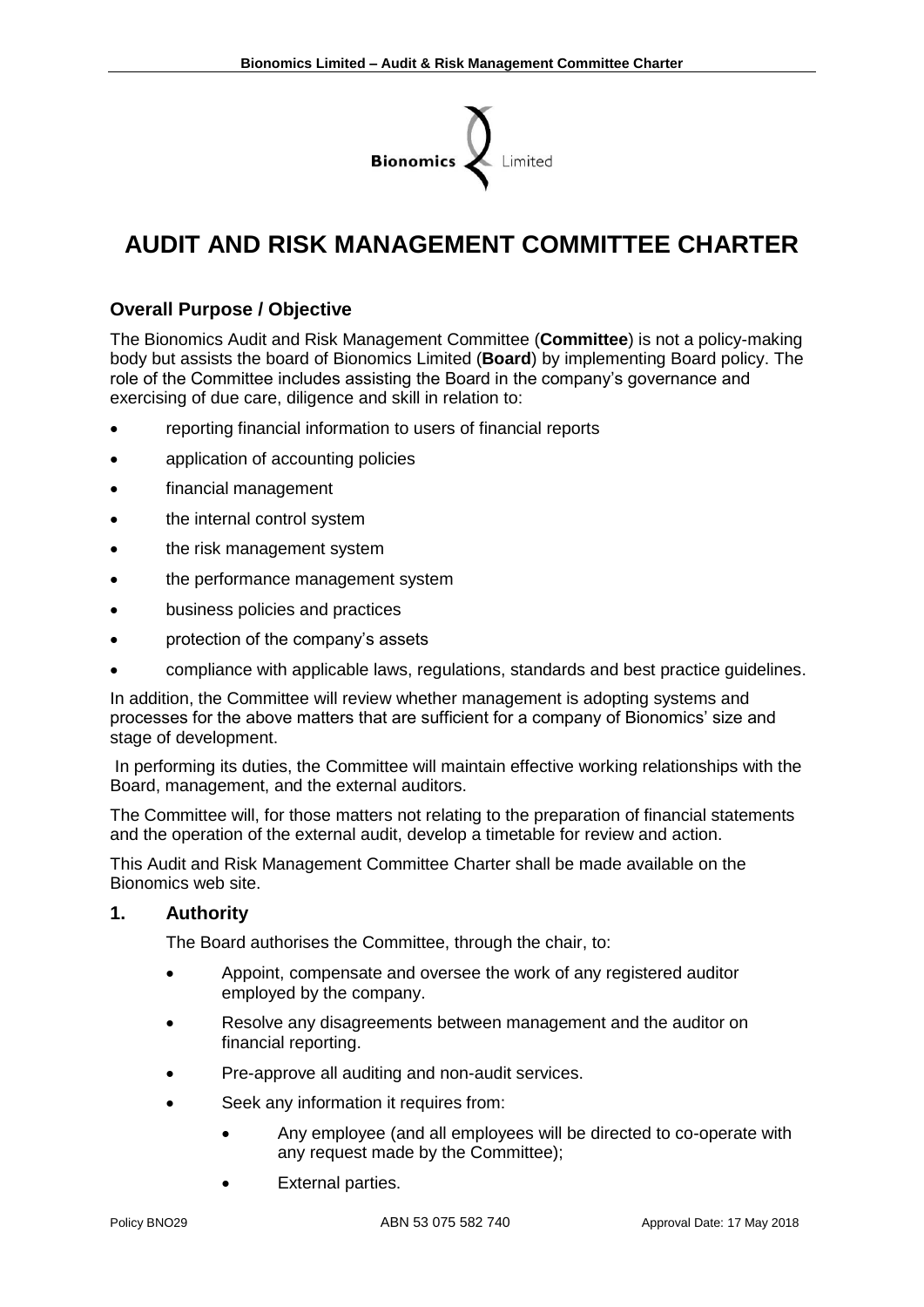

# **AUDIT AND RISK MANAGEMENT COMMITTEE CHARTER**

# **Overall Purpose / Objective**

The Bionomics Audit and Risk Management Committee (**Committee**) is not a policy-making body but assists the board of Bionomics Limited (**Board**) by implementing Board policy. The role of the Committee includes assisting the Board in the company's governance and exercising of due care, diligence and skill in relation to:

- reporting financial information to users of financial reports
- application of accounting policies
- financial management
- the internal control system
- the risk management system
- the performance management system
- business policies and practices
- protection of the company's assets
- compliance with applicable laws, regulations, standards and best practice guidelines.

In addition, the Committee will review whether management is adopting systems and processes for the above matters that are sufficient for a company of Bionomics' size and stage of development.

In performing its duties, the Committee will maintain effective working relationships with the Board, management, and the external auditors.

The Committee will, for those matters not relating to the preparation of financial statements and the operation of the external audit, develop a timetable for review and action.

This Audit and Risk Management Committee Charter shall be made available on the Bionomics web site.

#### **1. Authority**

The Board authorises the Committee, through the chair, to:

- Appoint, compensate and oversee the work of any registered auditor employed by the company.
- Resolve any disagreements between management and the auditor on financial reporting.
- Pre-approve all auditing and non-audit services.
- Seek any information it requires from:
	- Any employee (and all employees will be directed to co-operate with any request made by the Committee);
	- **External parties.**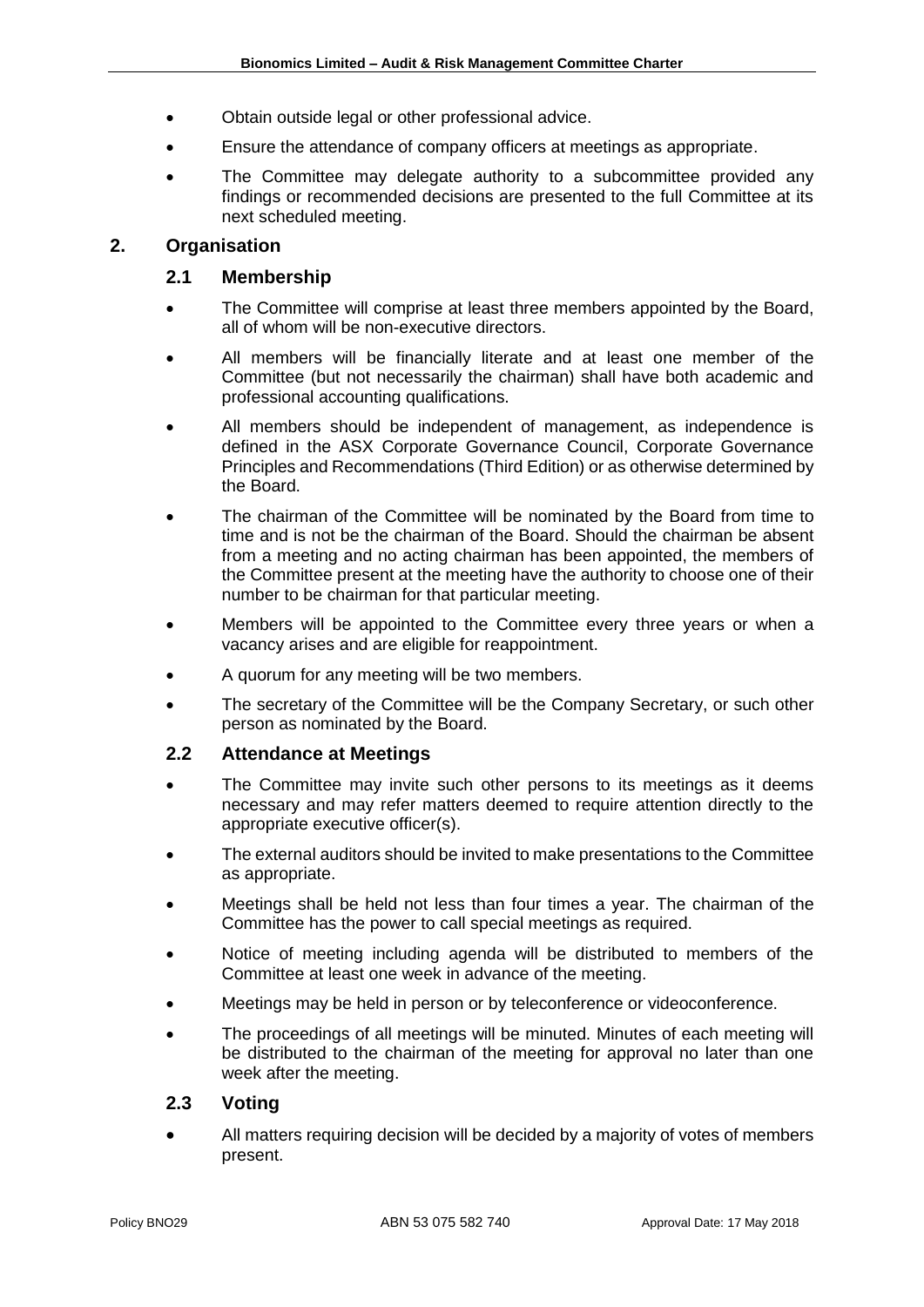- Obtain outside legal or other professional advice.
- Ensure the attendance of company officers at meetings as appropriate.
- The Committee may delegate authority to a subcommittee provided any findings or recommended decisions are presented to the full Committee at its next scheduled meeting.

#### **2. Organisation**

#### **2.1 Membership**

- The Committee will comprise at least three members appointed by the Board, all of whom will be non-executive directors.
- All members will be financially literate and at least one member of the Committee (but not necessarily the chairman) shall have both academic and professional accounting qualifications.
- All members should be independent of management, as independence is defined in the ASX Corporate Governance Council, Corporate Governance Principles and Recommendations (Third Edition) or as otherwise determined by the Board.
- The chairman of the Committee will be nominated by the Board from time to time and is not be the chairman of the Board. Should the chairman be absent from a meeting and no acting chairman has been appointed, the members of the Committee present at the meeting have the authority to choose one of their number to be chairman for that particular meeting.
- Members will be appointed to the Committee every three years or when a vacancy arises and are eligible for reappointment.
- A quorum for any meeting will be two members.
- The secretary of the Committee will be the Company Secretary, or such other person as nominated by the Board.

#### **2.2 Attendance at Meetings**

- The Committee may invite such other persons to its meetings as it deems necessary and may refer matters deemed to require attention directly to the appropriate executive officer(s).
- The external auditors should be invited to make presentations to the Committee as appropriate.
- Meetings shall be held not less than four times a year. The chairman of the Committee has the power to call special meetings as required.
- Notice of meeting including agenda will be distributed to members of the Committee at least one week in advance of the meeting.
- Meetings may be held in person or by teleconference or videoconference.
- The proceedings of all meetings will be minuted. Minutes of each meeting will be distributed to the chairman of the meeting for approval no later than one week after the meeting.

#### **2.3 Voting**

• All matters requiring decision will be decided by a majority of votes of members present.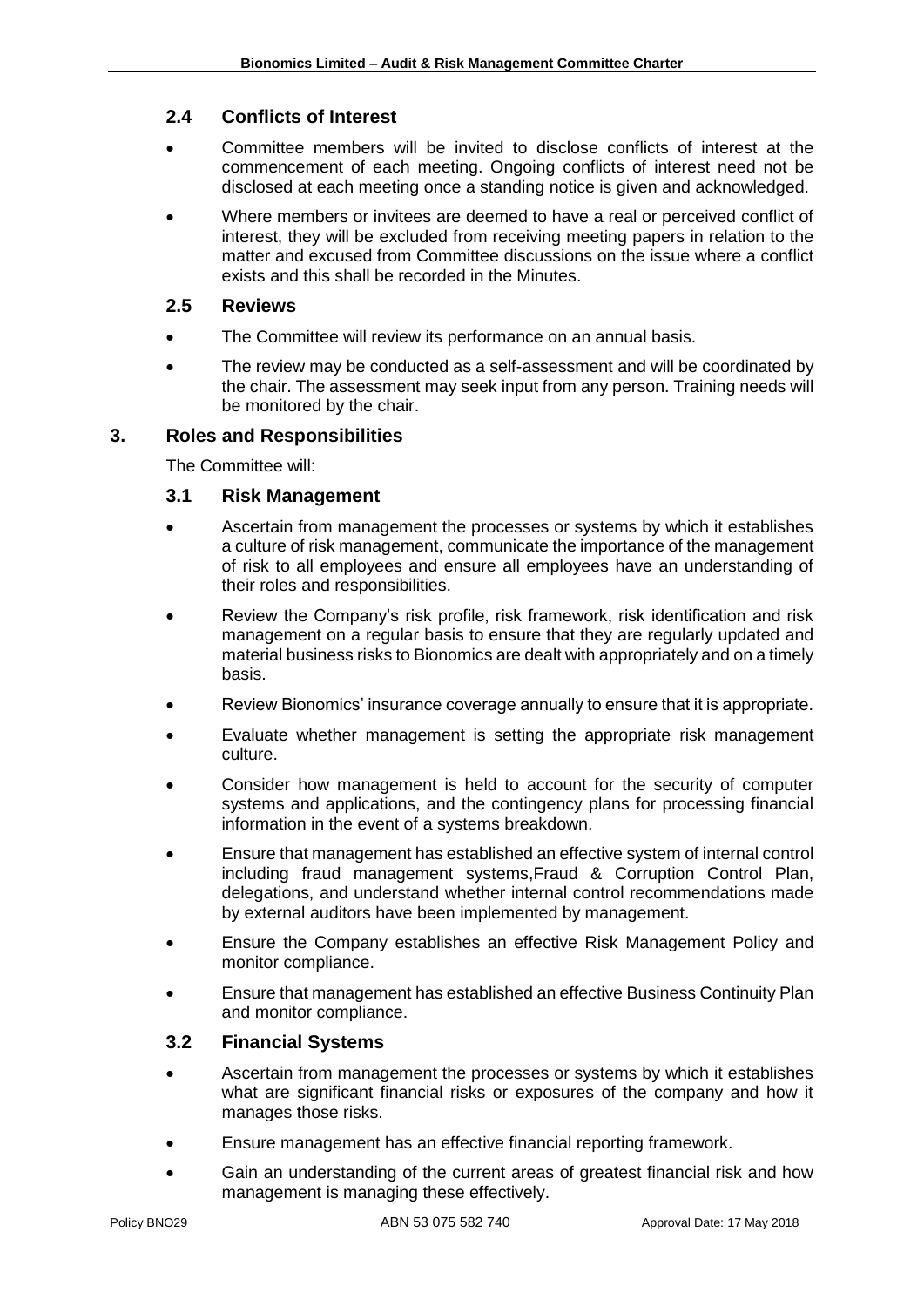# **2.4 Conflicts of Interest**

- Committee members will be invited to disclose conflicts of interest at the commencement of each meeting. Ongoing conflicts of interest need not be disclosed at each meeting once a standing notice is given and acknowledged.
- Where members or invitees are deemed to have a real or perceived conflict of interest, they will be excluded from receiving meeting papers in relation to the matter and excused from Committee discussions on the issue where a conflict exists and this shall be recorded in the Minutes.

#### **2.5 Reviews**

- The Committee will review its performance on an annual basis.
- The review may be conducted as a self-assessment and will be coordinated by the chair. The assessment may seek input from any person. Training needs will be monitored by the chair.

# **3. Roles and Responsibilities**

The Committee will:

#### **3.1 Risk Management**

- Ascertain from management the processes or systems by which it establishes a culture of risk management, communicate the importance of the management of risk to all employees and ensure all employees have an understanding of their roles and responsibilities.
- Review the Company's risk profile, risk framework, risk identification and risk management on a regular basis to ensure that they are regularly updated and material business risks to Bionomics are dealt with appropriately and on a timely basis.
- Review Bionomics' insurance coverage annually to ensure that it is appropriate.
- Evaluate whether management is setting the appropriate risk management culture.
- Consider how management is held to account for the security of computer systems and applications, and the contingency plans for processing financial information in the event of a systems breakdown.
- Ensure that management has established an effective system of internal control including fraud management systems,Fraud & Corruption Control Plan, delegations, and understand whether internal control recommendations made by external auditors have been implemented by management.
- Ensure the Company establishes an effective Risk Management Policy and monitor compliance.
- Ensure that management has established an effective Business Continuity Plan and monitor compliance.

#### **3.2 Financial Systems**

- Ascertain from management the processes or systems by which it establishes what are significant financial risks or exposures of the company and how it manages those risks.
- Ensure management has an effective financial reporting framework.
- Gain an understanding of the current areas of greatest financial risk and how management is managing these effectively.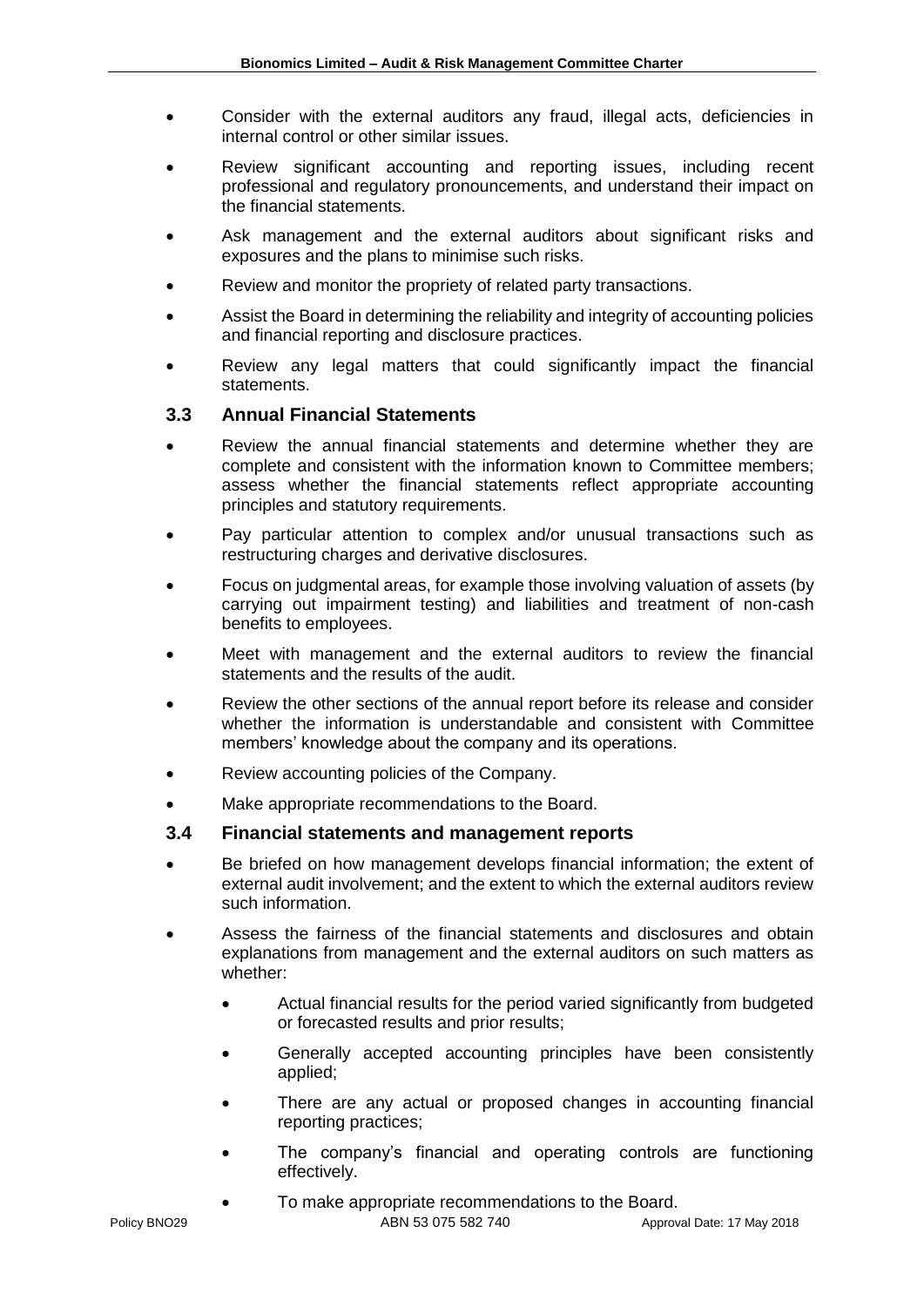- Consider with the external auditors any fraud, illegal acts, deficiencies in internal control or other similar issues.
- Review significant accounting and reporting issues, including recent professional and regulatory pronouncements, and understand their impact on the financial statements.
- Ask management and the external auditors about significant risks and exposures and the plans to minimise such risks.
- Review and monitor the propriety of related party transactions.
- Assist the Board in determining the reliability and integrity of accounting policies and financial reporting and disclosure practices.
- Review any legal matters that could significantly impact the financial statements.

# **3.3 Annual Financial Statements**

- Review the annual financial statements and determine whether they are complete and consistent with the information known to Committee members; assess whether the financial statements reflect appropriate accounting principles and statutory requirements.
- Pay particular attention to complex and/or unusual transactions such as restructuring charges and derivative disclosures.
- Focus on judgmental areas, for example those involving valuation of assets (by carrying out impairment testing) and liabilities and treatment of non-cash benefits to employees.
- Meet with management and the external auditors to review the financial statements and the results of the audit.
- Review the other sections of the annual report before its release and consider whether the information is understandable and consistent with Committee members' knowledge about the company and its operations.
- Review accounting policies of the Company.
- Make appropriate recommendations to the Board.

# **3.4 Financial statements and management reports**

- Be briefed on how management develops financial information; the extent of external audit involvement; and the extent to which the external auditors review such information.
- Assess the fairness of the financial statements and disclosures and obtain explanations from management and the external auditors on such matters as whether:
	- Actual financial results for the period varied significantly from budgeted or forecasted results and prior results;
	- Generally accepted accounting principles have been consistently applied;
	- There are any actual or proposed changes in accounting financial reporting practices;
	- The company's financial and operating controls are functioning effectively.
		- To make appropriate recommendations to the Board.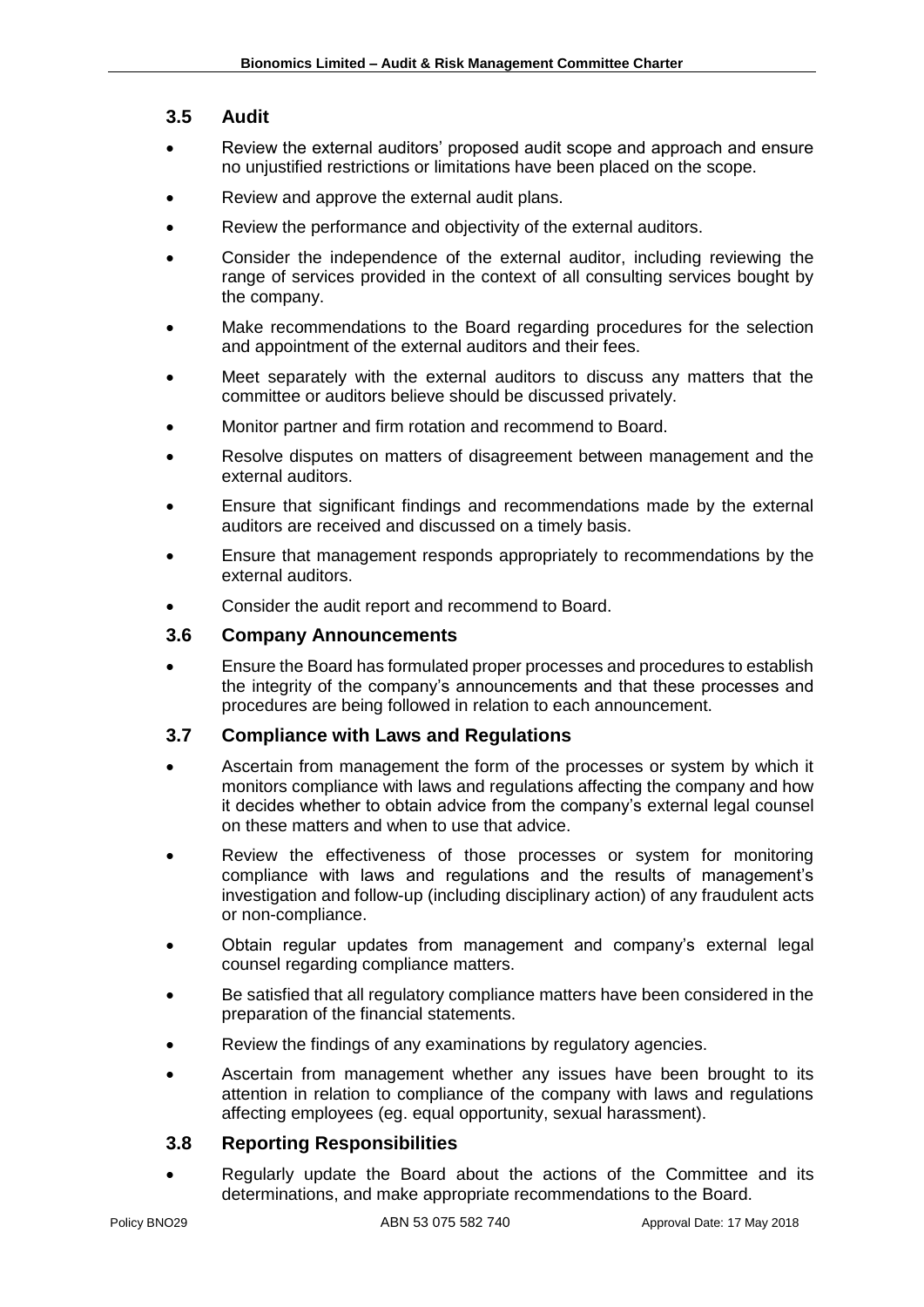## **3.5 Audit**

- Review the external auditors' proposed audit scope and approach and ensure no unjustified restrictions or limitations have been placed on the scope.
- Review and approve the external audit plans.
- Review the performance and objectivity of the external auditors.
- Consider the independence of the external auditor, including reviewing the range of services provided in the context of all consulting services bought by the company.
- Make recommendations to the Board regarding procedures for the selection and appointment of the external auditors and their fees.
- Meet separately with the external auditors to discuss any matters that the committee or auditors believe should be discussed privately.
- Monitor partner and firm rotation and recommend to Board.
- Resolve disputes on matters of disagreement between management and the external auditors.
- Ensure that significant findings and recommendations made by the external auditors are received and discussed on a timely basis.
- Ensure that management responds appropriately to recommendations by the external auditors.
- Consider the audit report and recommend to Board.

#### **3.6 Company Announcements**

• Ensure the Board has formulated proper processes and procedures to establish the integrity of the company's announcements and that these processes and procedures are being followed in relation to each announcement.

#### **3.7 Compliance with Laws and Regulations**

- Ascertain from management the form of the processes or system by which it monitors compliance with laws and regulations affecting the company and how it decides whether to obtain advice from the company's external legal counsel on these matters and when to use that advice.
- Review the effectiveness of those processes or system for monitoring compliance with laws and regulations and the results of management's investigation and follow-up (including disciplinary action) of any fraudulent acts or non-compliance.
- Obtain regular updates from management and company's external legal counsel regarding compliance matters.
- Be satisfied that all regulatory compliance matters have been considered in the preparation of the financial statements.
- Review the findings of any examinations by regulatory agencies.
- Ascertain from management whether any issues have been brought to its attention in relation to compliance of the company with laws and regulations affecting employees (eg. equal opportunity, sexual harassment).

#### **3.8 Reporting Responsibilities**

• Regularly update the Board about the actions of the Committee and its determinations, and make appropriate recommendations to the Board.